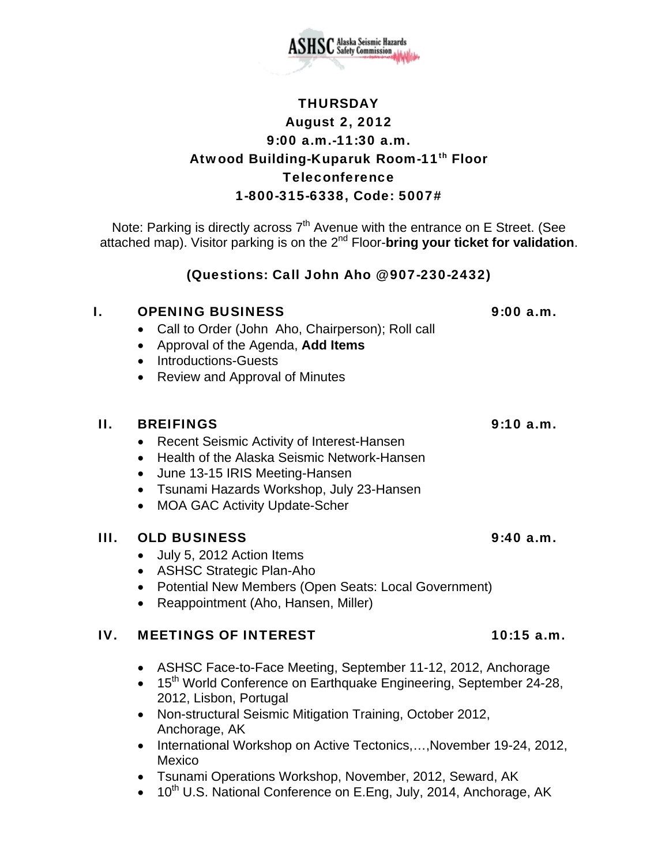

# **THURSDAY** August 2, 2012 9:00 a.m.-11:30 a.m. Atwood Building-Kuparuk Room-11<sup>th</sup> Floor Teleconference 1-800-315-6338, Code: 5007#

Note: Parking is directly across  $7<sup>th</sup>$  Avenue with the entrance on E Street. (See attached map). Visitor parking is on the 2nd Floor-**bring your ticket for validation**.

## (Questions: Call John Aho @ 907-230-2432)

### I. OPENING BUSINESS 9:00 a.m.

- Call to Order (John Aho, Chairperson); Roll call
- Approval of the Agenda, **Add Items**
- Introductions-Guests
- Review and Approval of Minutes

## II. BREIFINGS 9:10 a.m.

- Recent Seismic Activity of Interest-Hansen
- Health of the Alaska Seismic Network-Hansen
- June 13-15 IRIS Meeting-Hansen
- Tsunami Hazards Workshop, July 23-Hansen
- MOA GAC Activity Update-Scher

## III. OLD BUSINESS 9:40 a.m.

- July 5, 2012 Action Items
- ASHSC Strategic Plan-Aho
- Potential New Members (Open Seats: Local Government)
- Reappointment (Aho, Hansen, Miller)

## IV. MEETINGS OF INTEREST 10:15 a.m.

- ASHSC Face-to-Face Meeting, September 11-12, 2012, Anchorage
- 15<sup>th</sup> World Conference on Earthquake Engineering, September 24-28, 2012, Lisbon, Portugal
- Non-structural Seismic Mitigation Training, October 2012, Anchorage, AK
- International Workshop on Active Tectonics,...,November 19-24, 2012, Mexico
- Tsunami Operations Workshop, November, 2012, Seward, AK
- $\bullet$  10<sup>th</sup> U.S. National Conference on E.Eng, July, 2014, Anchorage, AK